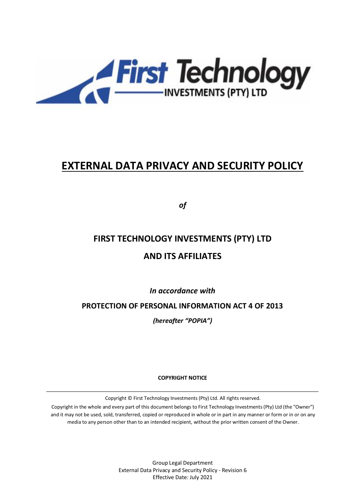

# **EXTERNAL DATA PRIVACY AND SECURITY POLICY**

*of*

# **FIRST TECHNOLOGY INVESTMENTS (PTY) LTD AND ITS AFFILIATES**

*In accordance with* 

**PROTECTION OF PERSONAL INFORMATION ACT 4 OF 2013** 

*(hereafter "POPIA")*

**COPYRIGHT NOTICE**

Copyright © First Technology Investments (Pty) Ltd. All rights reserved.

Copyright in the whole and every part of this document belongs to First Technology Investments (Pty) Ltd (the "Owner") and it may not be used, sold, transferred, copied or reproduced in whole or in part in any manner or form or in or on any media to any person other than to an intended recipient, without the prior written consent of the Owner.

> Group Legal Department External Data Privacy and Security Policy - Revision 6 Effective Date: July 2021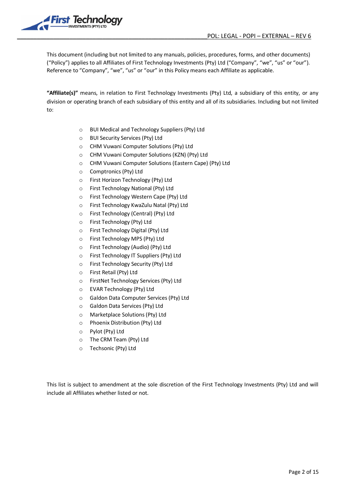

This document (including but not limited to any manuals, policies, procedures, forms, and other documents) ("Policy") applies to all Affiliates of First Technology Investments (Pty) Ltd ("Company", "we", "us" or "our"). Reference to "Company", "we", "us" or "our" in this Policy means each Affiliate as applicable.

**"Affiliate(s)"** means, in relation to First Technology Investments (Pty) Ltd, a subsidiary of this entity, or any division or operating branch of each subsidiary of this entity and all of its subsidiaries. Including but not limited to:

- o BUI Medical and Technology Suppliers (Pty) Ltd
- o BUI Security Services (Pty) Ltd
- o CHM Vuwani Computer Solutions (Pty) Ltd
- o CHM Vuwani Computer Solutions (KZN) (Pty) Ltd
- o CHM Vuwani Computer Solutions (Eastern Cape) (Pty) Ltd
- o Comptronics (Pty) Ltd
- o First Horizon Technology (Pty) Ltd
- o First Technology National (Pty) Ltd
- o First Technology Western Cape (Pty) Ltd
- o First Technology KwaZulu Natal (Pty) Ltd
- o First Technology (Central) (Pty) Ltd
- o First Technology (Pty) Ltd
- o First Technology Digital (Pty) Ltd
- o First Technology MPS (Pty) Ltd
- o First Technology (Audio) (Pty) Ltd
- o First Technology IT Suppliers (Pty) Ltd
- o First Technology Security (Pty) Ltd
- o First Retail (Pty) Ltd
- o FirstNet Technology Services (Pty) Ltd
- o EVAR Technology (Pty) Ltd
- o Galdon Data Computer Services (Pty) Ltd
- o Galdon Data Services (Pty) Ltd
- o Marketplace Solutions (Pty) Ltd
- o Phoenix Distribution (Pty) Ltd
- o Pylot (Pty) Ltd
- o The CRM Team (Pty) Ltd
- o Techsonic (Pty) Ltd

This list is subject to amendment at the sole discretion of the First Technology Investments (Pty) Ltd and will include all Affiliates whether listed or not.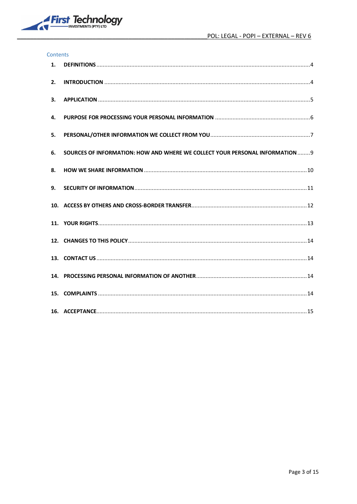

#### Contents

| 1. |                                                                               |
|----|-------------------------------------------------------------------------------|
| 2. |                                                                               |
| 3. |                                                                               |
| 4. |                                                                               |
| 5. |                                                                               |
| 6. | SOURCES OF INFORMATION: HOW AND WHERE WE COLLECT YOUR PERSONAL INFORMATION  9 |
| 8. |                                                                               |
| 9. |                                                                               |
|    |                                                                               |
|    |                                                                               |
|    |                                                                               |
|    |                                                                               |
|    |                                                                               |
|    |                                                                               |
|    |                                                                               |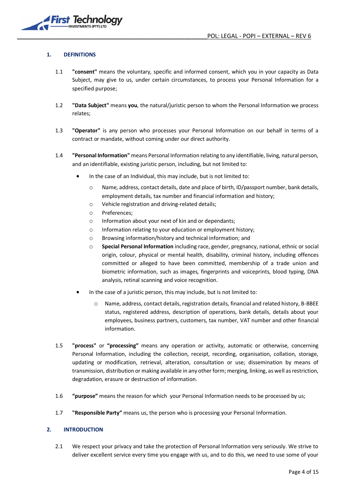#### <span id="page-3-0"></span>**1. DEFINITIONS**

- 1.1 **"consent"** means the voluntary, specific and informed consent, which you in your capacity as Data Subject, may give to us, under certain circumstances, to process your Personal Information for a specified purpose;
- 1.2 **"Data Subject"** means **you**, the natural/juristic person to whom the Personal Information we process relates;
- 1.3 **"Operator"** is any person who processes your Personal Information on our behalf in terms of a contract or mandate, without coming under our direct authority.
- 1.4 **"Personal Information"** means Personal Information relating to any identifiable, living, natural person, and an identifiable, existing juristic person, including, but not limited to:
	- In the case of an Individual, this may include, but is not limited to:
		- o Name, address, contact details, date and place of birth, ID/passport number, bank details, employment details, tax number and financial information and history;
		- o Vehicle registration and driving-related details;
		- o Preferences;
		- o Information about your next of kin and or dependants;
		- o Information relating to your education or employment history;
		- o Browsing information/history and technical information; and
		- o **Special Personal Information** including race, gender, pregnancy, national, ethnic or social origin, colour, physical or mental health, disability, criminal history, including offences committed or alleged to have been committed, membership of a trade union and biometric information, such as images, fingerprints and voiceprints, blood typing, DNA analysis, retinal scanning and voice recognition.
	- In the case of a juristic person, this may include, but is not limited to:
		- o Name, address, contact details, registration details, financial and related history, B-BBEE status, registered address, description of operations, bank details, details about your employees, business partners, customers, tax number, VAT number and other financial information.
- 1.5 **"process"** or **"processing"** means any operation or activity, automatic or otherwise, concerning Personal Information, including the collection, receipt, recording, organisation, collation, storage, updating or modification, retrieval, alteration, consultation or use; dissemination by means of transmission, distribution or making available in any other form; merging, linking, as well as restriction, degradation, erasure or destruction of information.
- 1.6 **"purpose"** means the reason for which your Personal Information needs to be processed by us;
- 1.7 **"Responsible Party"** means us, the person who is processing your Personal Information.

#### <span id="page-3-1"></span>**2. INTRODUCTION**

2.1 We respect your privacy and take the protection of Personal Information very seriously. We strive to deliver excellent service every time you engage with us, and to do this, we need to use some of your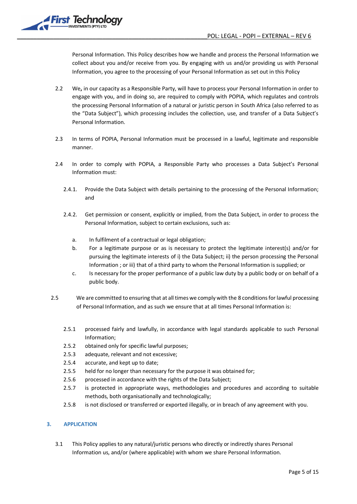

Personal Information. This Policy describes how we handle and process the Personal Information we collect about you and/or receive from you. By engaging with us and/or providing us with Personal Information, you agree to the processing of your Personal Information as set out in this Policy

- 2.2 We**,** in our capacity as a Responsible Party, will have to process your Personal Information in order to engage with you, and in doing so, are required to comply with POPIA, which regulates and controls the processing Personal Information of a natural or juristic person in South Africa (also referred to as the "Data Subject"), which processing includes the collection, use, and transfer of a Data Subject's Personal Information.
- 2.3 In terms of POPIA, Personal Information must be processed in a lawful, legitimate and responsible manner.
- 2.4 In order to comply with POPIA, a Responsible Party who processes a Data Subject's Personal Information must:
	- 2.4.1. Provide the Data Subject with details pertaining to the processing of the Personal Information; and
	- 2.4.2. Get permission or consent, explicitly or implied, from the Data Subject, in order to process the Personal Information, subject to certain exclusions, such as:
		- a. In fulfilment of a contractual or legal obligation;
		- b. For a legitimate purpose or as is necessary to protect the legitimate interest(s) and/or for pursuing the legitimate interests of i) the Data Subject; ii) the person processing the Personal Information ; or iii) that of a third party to whom the Personal Information is supplied; or
		- c. Is necessary for the proper performance of a public law duty by a public body or on behalf of a public body.
- 2.5 We are committed to ensuring that at all times we comply with the 8 conditions for lawful processing of Personal Information, and as such we ensure that at all times Personal Information is:
	- 2.5.1 processed fairly and lawfully, in accordance with legal standards applicable to such Personal Information;
	- 2.5.2 obtained only for specific lawful purposes;
	- 2.5.3 adequate, relevant and not excessive;
	- 2.5.4 accurate, and kept up to date;
	- 2.5.5 held for no longer than necessary for the purpose it was obtained for;
	- 2.5.6 processed in accordance with the rights of the Data Subject;
	- 2.5.7 is protected in appropriate ways, methodologies and procedures and according to suitable methods, both organisationally and technologically;
	- 2.5.8 is not disclosed or transferred or exported illegally, or in breach of any agreement with you.

# <span id="page-4-0"></span>**3. APPLICATION**

3.1 This Policy applies to any natural/juristic persons who directly or indirectly shares Personal Information us, and/or (where applicable) with whom we share Personal Information.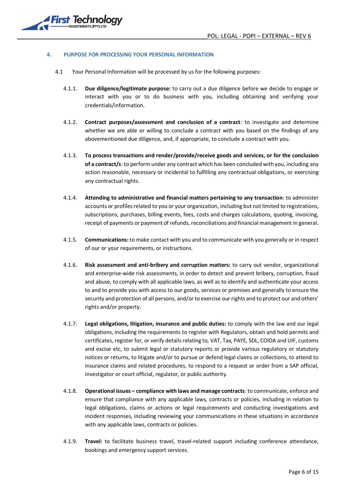

#### <span id="page-5-0"></span>**4. PURPOSE FOR PROCESSING YOUR PERSONAL INFORMATION**

- 4.1 Your Personal Information will be processed by us for the following purposes:
	- 4.1.1. **Due diligence/legitimate purpose:** to carry out a due diligence before we decide to engage or interact with you or to do business with you, including obtaining and verifying your credentials/information.
	- 4.1.2. **Contract purposes/assessment and conclusion of a contract**: to investigate and determine whether we are able or willing to conclude a contract with you based on the findings of any abovementioned due diligence, and, if appropriate, to conclude a contract with you.
	- 4.1.3. **To process transactions and render/provide/receive goods and services, or for the conclusion of a contract/s**: to perform under any contract which has been concluded with you, including any action reasonable, necessary or incidental to fulfilling any contractual obligations, or exercising any contractual rights.
	- 4.1.4. **Attending to administrative and financial matters pertaining to any transaction**: to administer accounts or profiles related to you or your organization, including but not limited to registrations, subscriptions, purchases, billing events, fees, costs and charges calculations, quoting, invoicing, receipt of payments or payment of refunds, reconciliations and financial management in general.
	- 4.1.5. **Communications:** to make contact with you and to communicate with you generally or in respect of our or your requirements, or instructions.
	- 4.1.6. **Risk assessment and anti-bribery and corruption matters:** to carry out vendor, organizational and enterprise-wide risk assessments, in order to detect and prevent bribery, corruption, fraud and abuse, to comply with all applicable laws, as well as to identify and authenticate your access to and to provide you with access to our goods, services or premises and generally to ensure the security and protection of all persons, and/or to exercise our rights and to protect our and others' rights and/or property.
	- 4.1.7. **Legal obligations, litigation, insurance and public duties:** to comply with the law and our legal obligations, including the requirements to register with Regulators, obtain and hold permits and certificates, register for, or verify details relating to, VAT, Tax, PAYE, SDL, COIDA and UIF, customs and excise etc, to submit legal or statutory reports or provide various regulatory or statutory notices or returns, to litigate and/or to pursue or defend legal claims or collections, to attend to insurance claims and related procedures, to respond to a request or order from a SAP official, investigator or court official, regulator, or public authority.
	- 4.1.8. **Operational issues – compliance with laws and manage contracts**: to communicate, enforce and ensure that compliance with any applicable laws, contracts or policies, including in relation to legal obligations, claims or actions or legal requirements and conducting investigations and incident responses, including reviewing your communications in these situations in accordance with any applicable laws, contracts or policies.
	- 4.1.9. **Travel:** to facilitate business travel, travel-related support including conference attendance, bookings and emergency support services.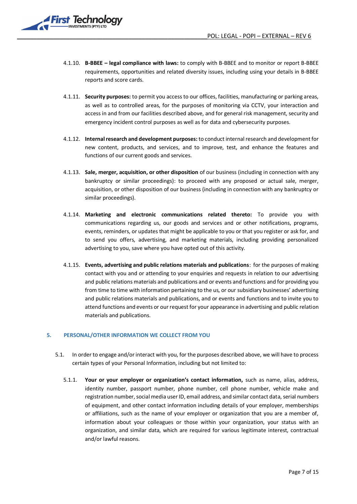

- 4.1.10. **B-BBEE – legal compliance with laws:** to comply with B-BBEE and to monitor or report B-BBEE requirements, opportunities and related diversity issues, including using your details in B-BBEE reports and score cards.
- 4.1.11. **Security purposes:** to permit you access to our offices, facilities, manufacturing or parking areas, as well as to controlled areas, for the purposes of monitoring via CCTV, your interaction and access in and from our facilities described above, and for general risk management, security and emergency incident control purposes as well as for data and cybersecurity purposes.
- 4.1.12. **Internal research and development purposes:** to conduct internal research and development for new content, products, and services, and to improve, test, and enhance the features and functions of our current goods and services.
- 4.1.13. **Sale, merger, acquisition, or other disposition** of our business (including in connection with any bankruptcy or similar proceedings): to proceed with any proposed or actual sale, merger, acquisition, or other disposition of our business (including in connection with any bankruptcy or similar proceedings).
- 4.1.14. **Marketing and electronic communications related thereto:** To provide you with communications regarding us, our goods and services and or other notifications, programs, events, reminders, or updates that might be applicable to you or that you register or ask for, and to send you offers, advertising, and marketing materials, including providing personalized advertising to you, save where you have opted out of this activity.
- 4.1.15. **Events, advertising and public relations materials and publications**: for the purposes of making contact with you and or attending to your enquiries and requests in relation to our advertising and public relations materials and publications and or events and functions and for providing you from time to time with information pertaining to the us, or our subsidiary businesses' advertising and public relations materials and publications, and or events and functions and to invite you to attend functions and events or our request for your appearance in advertising and public relation materials and publications.

#### <span id="page-6-0"></span>**5. PERSONAL/OTHER INFORMATION WE COLLECT FROM YOU**

- 5.1. In order to engage and/or interact with you, for the purposes described above, we will have to process certain types of your Personal Information, including but not limited to:
	- 5.1.1. **Your or your employer or organization's contact information,** such as name, alias, address, identity number, passport number, phone number, cell phone number, vehicle make and registration number, social media user ID, email address, and similar contact data, serial numbers of equipment, and other contact information including details of your employer, memberships or affiliations, such as the name of your employer or organization that you are a member of, information about your colleagues or those within your organization, your status with an organization, and similar data, which are required for various legitimate interest, contractual and/or lawful reasons.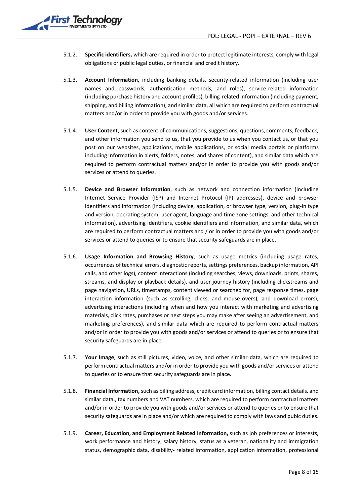

- 5.1.2. **Specific identifiers,** which are required in order to protect legitimate interests, comply with legal obligations or public legal duties**,** or financial and credit history.
- 5.1.3. **Account Information,** including banking details, security-related information (including user names and passwords, authentication methods, and roles), service-related information (including purchase history and account profiles), billing-related information (including payment, shipping, and billing information), and similar data, all which are required to perform contractual matters and/or in order to provide you with goods and/or services.
- 5.1.4. **User Content**, such as content of communications, suggestions, questions, comments, feedback, and other information you send to us, that you provide to us when you contact us, or that you post on our websites, applications, mobile applications, or social media portals or platforms including information in alerts, folders, notes, and shares of content), and similar data which are required to perform contractual matters and/or in order to provide you with goods and/or services or attend to queries.
- 5.1.5. **Device and Browser Information**, such as network and connection information (including Internet Service Provider (ISP) and Internet Protocol (IP) addresses), device and browser identifiers and information (including device, application, or browser type, version, plug-in type and version, operating system, user agent, language and time zone settings, and other technical information), advertising identifiers, cookie identifiers and information, and similar data, which are required to perform contractual matters and / or in order to provide you with goods and/or services or attend to queries or to ensure that security safeguards are in place.
- 5.1.6. **Usage Information and Browsing History**, such as usage metrics (including usage rates, occurrences of technical errors, diagnostic reports, settings preferences, backup information, API calls, and other logs), content interactions (including searches, views, downloads, prints, shares, streams, and display or playback details), and user journey history (including clickstreams and page navigation, URLs, timestamps, content viewed or searched for, page response times, page interaction information (such as scrolling, clicks, and mouse-overs), and download errors), advertising interactions (including when and how you interact with marketing and advertising materials, click rates, purchases or next steps you may make after seeing an advertisement, and marketing preferences), and similar data which are required to perform contractual matters and/or in order to provide you with goods and/or services or attend to queries or to ensure that security safeguards are in place.
- 5.1.7. **Your Image**, such as still pictures, video, voice, and other similar data, which are required to perform contractual matters and/or in order to provide you with goods and/or services or attend to queries or to ensure that security safeguards are in place.
- 5.1.8. **Financial Information,** such as billing address, credit card information, billing contact details, and similar data., tax numbers and VAT numbers, which are required to perform contractual matters and/or in order to provide you with goods and/or services or attend to queries or to ensure that security safeguards are in place and/or which are required to comply with laws and pubic duties.
- 5.1.9. **Career, Education, and Employment Related Information,** such as job preferences or interests, work performance and history, salary history, status as a veteran, nationality and immigration status, demographic data, disability- related information, application information, professional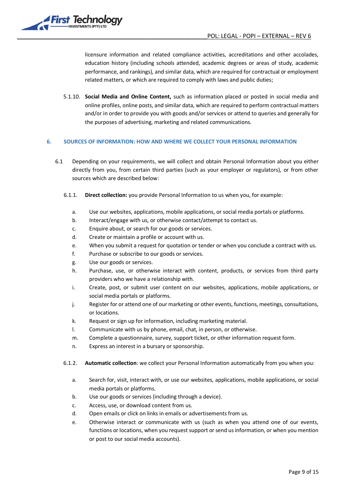

licensure information and related compliance activities, accreditations and other accolades, education history (including schools attended, academic degrees or areas of study, academic performance, and rankings), and similar data, which are required for contractual or employment related matters, or which are required to comply with laws and public duties;

5.1.10. **Social Media and Online Content,** such as information placed or posted in social media and online profiles, online posts, and similar data, which are required to perform contractual matters and/or in order to provide you with goods and/or services or attend to queries and generally for the purposes of advertising, marketing and related communications.

# <span id="page-8-0"></span>**6. SOURCES OF INFORMATION: HOW AND WHERE WE COLLECT YOUR PERSONAL INFORMATION**

- 6.1 Depending on your requirements, we will collect and obtain Personal Information about you either directly from you, from certain third parties (such as your employer or regulators), or from other sources which are described below:
	- 6.1.1. **Direct collection:** you provide Personal Information to us when you, for example:
		- a. Use our websites, applications, mobile applications, or social media portals or platforms.
		- b. Interact/engage with us, or otherwise contact/attempt to contact us.
		- c. Enquire about, or search for our goods or services.
		- d. Create or maintain a profile or account with us.
		- e. When you submit a request for quotation or tender or when you conclude a contract with us.
		- f. Purchase or subscribe to our goods or services.
		- g. Use our goods or services.
		- h. Purchase, use, or otherwise interact with content, products, or services from third party providers who we have a relationship with.
		- i. Create, post, or submit user content on our websites, applications, mobile applications, or social media portals or platforms.
		- j. Register for or attend one of our marketing or other events, functions, meetings, consultations, or locations.
		- k. Request or sign up for information, including marketing material.
		- l. Communicate with us by phone, email, chat, in person, or otherwise.
		- m. Complete a questionnaire, survey, support ticket, or other information request form.
		- n. Express an interest in a bursary or sponsorship.
	- 6.1.2. **Automatic collection**: we collect your Personal Information automatically from you when you:
		- a. Search for, visit, interact with, or use our websites, applications, mobile applications, or social media portals or platforms.
		- b. Use our goods or services (including through a device).
		- c. Access, use, or download content from us.
		- d. Open emails or click on links in emails or advertisements from us.
		- e. Otherwise interact or communicate with us (such as when you attend one of our events, functions or locations, when you request support or send us information, or when you mention or post to our social media accounts).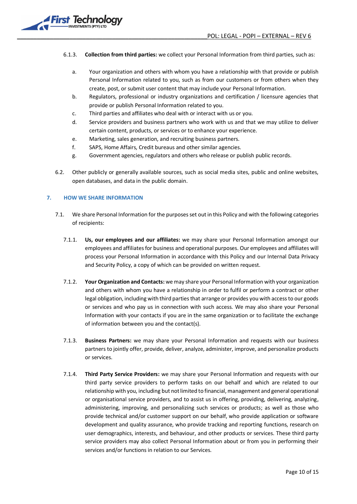

#### 6.1.3. **Collection from third parties:** we collect your Personal Information from third parties, such as:

- a. Your organization and others with whom you have a relationship with that provide or publish Personal Information related to you, such as from our customers or from others when they create, post, or submit user content that may include your Personal Information.
- b. Regulators, professional or industry organizations and certification / licensure agencies that provide or publish Personal Information related to you.
- c. Third parties and affiliates who deal with or interact with us or you.
- d. Service providers and business partners who work with us and that we may utilize to deliver certain content, products, or services or to enhance your experience.
- e. Marketing, sales generation, and recruiting business partners.
- f. SAPS, Home Affairs, Credit bureaus and other similar agencies.
- g. Government agencies, regulators and others who release or publish public records.
- 6.2. Other publicly or generally available sources, such as social media sites, public and online websites, open databases, and data in the public domain.

#### <span id="page-9-0"></span>**7. HOW WE SHARE INFORMATION**

- 7.1. We share Personal Information for the purposes set out in this Policy and with the following categories of recipients:
	- 7.1.1. **Us, our employees and our affiliates:** we may share your Personal Information amongst our employees and affiliates for business and operational purposes. Our employees and affiliates will process your Personal Information in accordance with this Policy and our Internal Data Privacy and Security Policy, a copy of which can be provided on written request.
	- 7.1.2. **Your Organization and Contacts:** we may share your Personal Information with your organization and others with whom you have a relationship in order to fulfil or perform a contract or other legal obligation, including with third parties that arrange or provides you with access to our goods or services and who pay us in connection with such access. We may also share your Personal Information with your contacts if you are in the same organization or to facilitate the exchange of information between you and the contact(s).
	- 7.1.3. **Business Partners:** we may share your Personal Information and requests with our business partners to jointly offer, provide, deliver, analyze, administer, improve, and personalize products or services.
	- 7.1.4. **Third Party Service Providers:** we may share your Personal Information and requests with our third party service providers to perform tasks on our behalf and which are related to our relationship with you, including but not limited to financial, management and general operational or organisational service providers, and to assist us in offering, providing, delivering, analyzing, administering, improving, and personalizing such services or products; as well as those who provide technical and/or customer support on our behalf, who provide application or software development and quality assurance, who provide tracking and reporting functions, research on user demographics, interests, and behaviour, and other products or services. These third party service providers may also collect Personal Information about or from you in performing their services and/or functions in relation to our Services.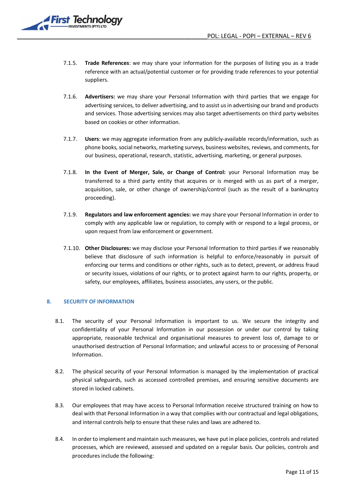

- 7.1.5. **Trade References**: we may share your information for the purposes of listing you as a trade reference with an actual/potential customer or for providing trade references to your potential suppliers.
- 7.1.6. **Advertisers:** we may share your Personal Information with third parties that we engage for advertising services, to deliver advertising, and to assist us in advertising our brand and products and services. Those advertising services may also target advertisements on third party websites based on cookies or other information.
- 7.1.7. **Users**: we may aggregate information from any publicly-available records/information, such as phone books, social networks, marketing surveys, business websites, reviews, and comments, for our business, operational, research, statistic, advertising, marketing, or general purposes.
- 7.1.8. **In the Event of Merger, Sale, or Change of Control:** your Personal Information may be transferred to a third party entity that acquires or is merged with us as part of a merger, acquisition, sale, or other change of ownership/control (such as the result of a bankruptcy proceeding).
- 7.1.9. **Regulators and law enforcement agencies:** we may share your Personal Information in order to comply with any applicable law or regulation, to comply with or respond to a legal process, or upon request from law enforcement or government.
- 7.1.10. **Other Disclosures:** we may disclose your Personal Information to third parties if we reasonably believe that disclosure of such information is helpful to enforce/reasonably in pursuit of enforcing our terms and conditions or other rights, such as to detect, prevent, or address fraud or security issues, violations of our rights, or to protect against harm to our rights, property, or safety, our employees, affiliates, business associates, any users, or the public.

#### <span id="page-10-0"></span>**8. SECURITY OF INFORMATION**

- 8.1. The security of your Personal Information is important to us. We secure the integrity and confidentiality of your Personal Information in our possession or under our control by taking appropriate, reasonable technical and organisational measures to prevent loss of, damage to or unauthorised destruction of Personal Information; and unlawful access to or processing of Personal Information.
- 8.2. The physical security of your Personal Information is managed by the implementation of practical physical safeguards, such as accessed controlled premises, and ensuring sensitive documents are stored in locked cabinets.
- 8.3. Our employees that may have access to Personal Information receive structured training on how to deal with that Personal Information in a way that complies with our contractual and legal obligations, and internal controls help to ensure that these rules and laws are adhered to.
- 8.4. In order to implement and maintain such measures, we have putin place policies, controls and related processes, which are reviewed, assessed and updated on a regular basis. Our policies, controls and procedures include the following: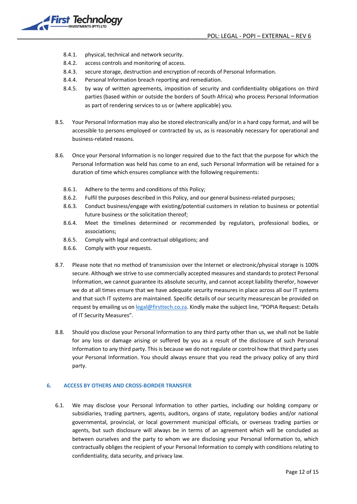

- 8.4.1. physical, technical and network security.
- 8.4.2. access controls and monitoring of access.
- 8.4.3. secure storage, destruction and encryption of records of Personal Information.
- 8.4.4. Personal Information breach reporting and remediation.
- 8.4.5. by way of written agreements, imposition of security and confidentiality obligations on third parties (based within or outside the borders of South Africa) who process Personal Information as part of rendering services to us or (where applicable) you.
- 8.5. Your Personal Information may also be stored electronically and/or in a hard copy format, and will be accessible to persons employed or contracted by us, as is reasonably necessary for operational and business-related reasons.
- 8.6. Once your Personal Information is no longer required due to the fact that the purpose for which the Personal Information was held has come to an end, such Personal Information will be retained for a duration of time which ensures compliance with the following requirements:
	- 8.6.1. Adhere to the terms and conditions of this Policy;
	- 8.6.2. Fulfil the purposes described in this Policy, and our general business-related purposes;
	- 8.6.3. Conduct business/engage with existing/potential customers in relation to business or potential future business or the solicitation thereof;
	- 8.6.4. Meet the timelines determined or recommended by regulators, professional bodies, or associations;
	- 8.6.5. Comply with legal and contractual obligations; and
	- 8.6.6. Comply with your requests.
- 8.7. Please note that no method of transmission over the Internet or electronic/physical storage is 100% secure. Although we strive to use commercially accepted measures and standards to protect Personal Information, we cannot guarantee its absolute security, and cannot accept liability therefor, however we do at all times ensure that we have adequate security measures in place across all our IT systems and that such IT systems are maintained. Specific details of our security measurescan be provided on request by emailing us o[n legal@firsttech.co.za.](mailto:legal@firsttech.co.za) Kindly make the subject line, "POPIA Request: Details of IT Security Measures".
- 8.8. Should you disclose your Personal Information to any third party other than us, we shall not be liable for any loss or damage arising or suffered by you as a result of the disclosure of such Personal Information to any third party. This is because we do not regulate or control how that third party uses your Personal Information. You should always ensure that you read the privacy policy of any third party.

# <span id="page-11-0"></span>**6. ACCESS BY OTHERS AND CROSS-BORDER TRANSFER**

6.1. We may disclose your Personal Information to other parties, including our holding company or subsidiaries, trading partners, agents, auditors, organs of state, regulatory bodies and/or national governmental, provincial, or local government municipal officials, or overseas trading parties or agents, but such disclosure will always be in terms of an agreement which will be concluded as between ourselves and the party to whom we are disclosing your Personal Information to, which contractually obliges the recipient of your Personal Information to comply with conditions relating to confidentiality, data security, and privacy law.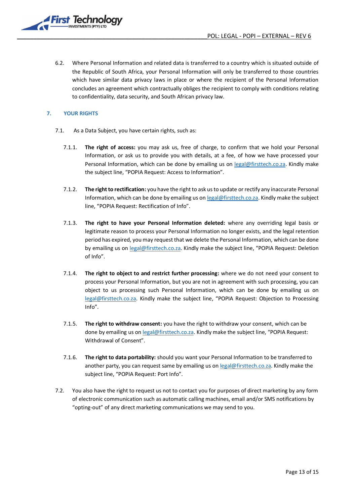

6.2. Where Personal Information and related data is transferred to a country which is situated outside of the Republic of South Africa, your Personal Information will only be transferred to those countries which have similar data privacy laws in place or where the recipient of the Personal Information concludes an agreement which contractually obliges the recipient to comply with conditions relating to confidentiality, data security, and South African privacy law.

# <span id="page-12-0"></span>**7. YOUR RIGHTS**

- 7.1. As a Data Subject, you have certain rights, such as:
	- 7.1.1. **The right of access:** you may ask us, free of charge, to confirm that we hold your Personal Information, or ask us to provide you with details, at a fee, of how we have processed your Personal Information, which can be done by emailing us on [legal@firsttech.co.za.](mailto:legal@firsttech.co.za) Kindly make the subject line, "POPIA Request: Access to Information".
	- 7.1.2. **The right to rectification:** you have the right to ask us to update or rectify any inaccurate Personal Information, which can be done by emailing us o[n legal@firsttech.co.za.](mailto:legal@firsttech.co.za) Kindly make the subject line, "POPIA Request: Rectification of Info".
	- 7.1.3. **The right to have your Personal Information deleted:** where any overriding legal basis or legitimate reason to process your Personal Information no longer exists, and the legal retention period has expired, you may request that we delete the Personal Information, which can be done by emailing us on [legal@firsttech.co.za.](mailto:legal@firsttech.co.za) Kindly make the subject line, "POPIA Request: Deletion of Info".
	- 7.1.4. **The right to object to and restrict further processing:** where we do not need your consent to process your Personal Information, but you are not in agreement with such processing, you can object to us processing such Personal Information, which can be done by emailing us on [legal@firsttech.co.za.](mailto:legal@firsttech.co.za) Kindly make the subject line, "POPIA Request: Objection to Processing Info".
	- 7.1.5. **The right to withdraw consent:** you have the right to withdraw your consent, which can be done by emailing us on [legal@firsttech.co.za.](mailto:legal@firsttech.co.za) Kindly make the subject line, "POPIA Request: Withdrawal of Consent".
	- 7.1.6. **The right to data portability:** should you want your Personal Information to be transferred to another party, you can request same by emailing us on [legal@firsttech.co.za.](mailto:legal@firsttech.co.za) Kindly make the subject line, "POPIA Request: Port Info".
- 7.2. You also have the right to request us not to contact you for purposes of direct marketing by any form of electronic communication such as automatic calling machines, email and/or SMS notifications by "opting-out" of any direct marketing communications we may send to you.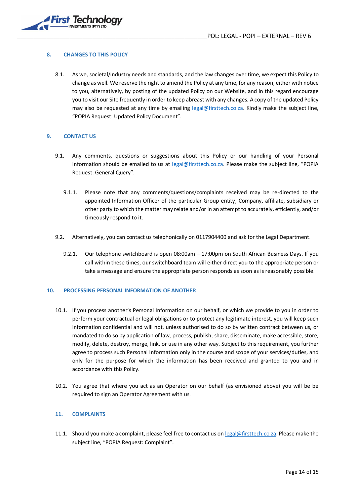

#### <span id="page-13-0"></span>**8. CHANGES TO THIS POLICY**

8.1. As we, societal/industry needs and standards, and the law changes over time, we expect this Policy to change as well. We reserve the right to amend the Policy at any time, for any reason, either with notice to you, alternatively, by posting of the updated Policy on our Website, and in this regard encourage you to visit our Site frequently in order to keep abreast with any changes. A copy of the updated Policy may also be requested at any time by emailing [legal@firsttech.co.za.](mailto:legal@firsttech.co.za) Kindly make the subject line, "POPIA Request: Updated Policy Document".

# <span id="page-13-1"></span>**9. CONTACT US**

- 9.1. Any comments, questions or suggestions about this Policy or our handling of your Personal Information should be emailed to us at [legal@firsttech.co.za](mailto:legal@firsttech.co.za). Please make the subject line, "POPIA Request: General Query".
	- 9.1.1. Please note that any comments/questions/complaints received may be re-directed to the appointed Information Officer of the particular Group entity, Company, affiliate, subsidiary or other party to which the matter may relate and/or in an attempt to accurately, efficiently, and/or timeously respond to it.
- 9.2. Alternatively, you can contact us telephonically on 0117904400 and ask for the Legal Department.
	- 9.2.1. Our telephone switchboard is open 08:00am 17:00pm on South African Business Days. If you call within these times, our switchboard team will either direct you to the appropriate person or take a message and ensure the appropriate person responds as soon as is reasonably possible.

#### <span id="page-13-2"></span>**10. PROCESSING PERSONAL INFORMATION OF ANOTHER**

- 10.1. If you process another's Personal Information on our behalf, or which we provide to you in order to perform your contractual or legal obligations or to protect any legitimate interest, you will keep such information confidential and will not, unless authorised to do so by written contract between us, or mandated to do so by application of law, process, publish, share, disseminate, make accessible, store, modify, delete, destroy, merge, link, or use in any other way. Subject to this requirement, you further agree to process such Personal Information only in the course and scope of your services/duties, and only for the purpose for which the information has been received and granted to you and in accordance with this Policy.
- 10.2. You agree that where you act as an Operator on our behalf (as envisioned above) you will be be required to sign an Operator Agreement with us.

# <span id="page-13-3"></span>**11. COMPLAINTS**

11.1. Should you make a complaint, please feel free to contact us o[n legal@firsttech.co.za.](mailto:legal@firsttech.co.za) Please make the subject line, "POPIA Request: Complaint".